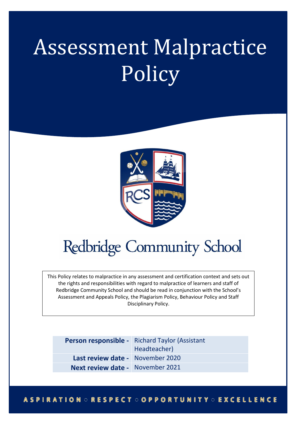# Assessment Malpractice **Policy**



## **Redbridge Community School**

This Policy relates to malpractice in any assessment and certification context and sets out the rights and responsibilities with regard to malpractice of learners and staff of Redbridge Community School and should be read in conjunction with the School's Assessment and Appeals Policy, the Plagiarism Policy, Behaviour Policy and Staff Disciplinary Policy.

|                                         | Person responsible - Richard Taylor (Assistant<br>Headteacher) |
|-----------------------------------------|----------------------------------------------------------------|
| Last review date - November 2020        |                                                                |
| <b>Next review date -</b> November 2021 |                                                                |

#### **ASPIRATION ORESPECT OOPPORTUNITY OEXCELLENCE**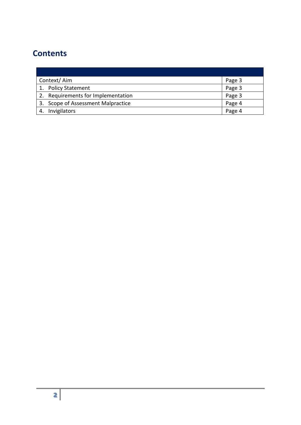### **Contents**

| Context/Aim                        | Page 3 |
|------------------------------------|--------|
| 1. Policy Statement                | Page 3 |
| 2. Requirements for Implementation | Page 3 |
| 3. Scope of Assessment Malpractice | Page 4 |
| Invigilators                       | Page 4 |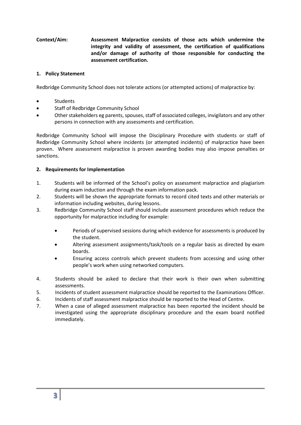#### **Context/Aim: Assessment Malpractice consists of those acts which undermine the integrity and validity of assessment, the certification of qualifications and/or damage of authority of those responsible for conducting the assessment certification.**

#### **1. Policy Statement**

Redbridge Community School does not tolerate actions (or attempted actions) of malpractice by:

- **Students**
- Staff of Redbridge Community School
- Other stakeholders eg parents, spouses, staff of associated colleges, invigilators and any other persons in connection with any assessments and certification.

Redbridge Community School will impose the Disciplinary Procedure with students or staff of Redbridge Community School where incidents (or attempted incidents) of malpractice have been proven. Where assessment malpractice is proven awarding bodies may also impose penalties or sanctions.

#### **2. Requirements for Implementation**

- 1. Students will be informed of the School's policy on assessment malpractice and plagiarism during exam induction and through the exam information pack.
- 2. Students will be shown the appropriate formats to record cited texts and other materials or information including websites, during lessons.
- 3. Redbridge Community School staff should include assessment procedures which reduce the opportunity for malpractice including for example:
	- Periods of supervised sessions during which evidence for assessments is produced by the student.
	- Altering assessment assignments/task/tools on a regular basis as directed by exam boards.
	- Ensuring access controls which prevent students from accessing and using other people's work when using networked computers.
- 4. Students should be asked to declare that their work is their own when submitting assessments.
- 5. Incidents of student assessment malpractice should be reported to the Examinations Officer.
- 6. Incidents of staff assessment malpractice should be reported to the Head of Centre.
- 7. When a case of alleged assessment malpractice has been reported the incident should be investigated using the appropriate disciplinary procedure and the exam board notified immediately.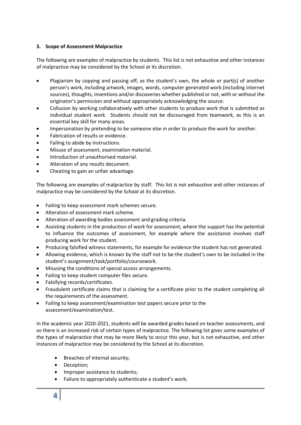#### **3. Scope of Assessment Malpractice**

The following are examples of malpractice by students. This list is not exhaustive and other instances of malpractice may be considered by the School at its discretion.

- Plagiarism by copying and passing off, as the student's own, the whole or part(s) of another person's work, including artwork, images, words, computer generated work (including internet sources), thoughts, inventions and/or discoveries whether published or not, with or without the originator's permission and without appropriately acknowledging the source.
- Collusion by working collaboratively with other students to produce work that is submitted as individual student work. Students should not be discouraged from teamwork, as this is an essential key skill for many areas.
- Impersonation by pretending to be someone else in order to produce the work for another.
- Fabrication of results or evidence.
- Failing to abide by instructions.
- Misuse of assessment, examination material.
- Introduction of unauthorised material.
- Alteration of any results document.
- Cheating to gain an unfair advantage.

The following are examples of malpractice by staff. This list is not exhaustive and other instances of malpractice may be considered by the School at its discretion.

- Failing to keep assessment mark schemes secure.
- Alteration of assessment mark scheme.
- Alteration of awarding bodies assessment and grading criteria.
- Assisting students in the production of work for assessment, where the support has the potential to influence the outcomes of assessment, for example where the assistance involves staff producing work for the student.
- Producing falsified witness statements, for example for evidence the student has not generated.
- Allowing evidence, which is known by the staff not to be the student's own to be included in the student's assignment/task/portfolio/coursework.
- Misusing the conditions of special access arrangements.
- Failing to keep student computer files secure.
- Falsifying records/certificates.
- Fraudulent certificate claims that is claiming for a certificate prior to the student completing all the requirements of the assessment.
- Failing to keep assessment/examination test papers secure prior to the assessment/examination/test.

In the academic year 2020-2021, students will be awarded grades based on teacher assessments, and so there is an increased risk of certain types of malpractice. The following list gives some examples of the types of malpractice that may be more likely to occur this year, but is not exhaustive, and other instances of malpractice may be considered by the School at its discretion.

- Breaches of internal security;
- Deception;
- Improper assistance to students;
- Failure to appropriately authenticate a student's work;